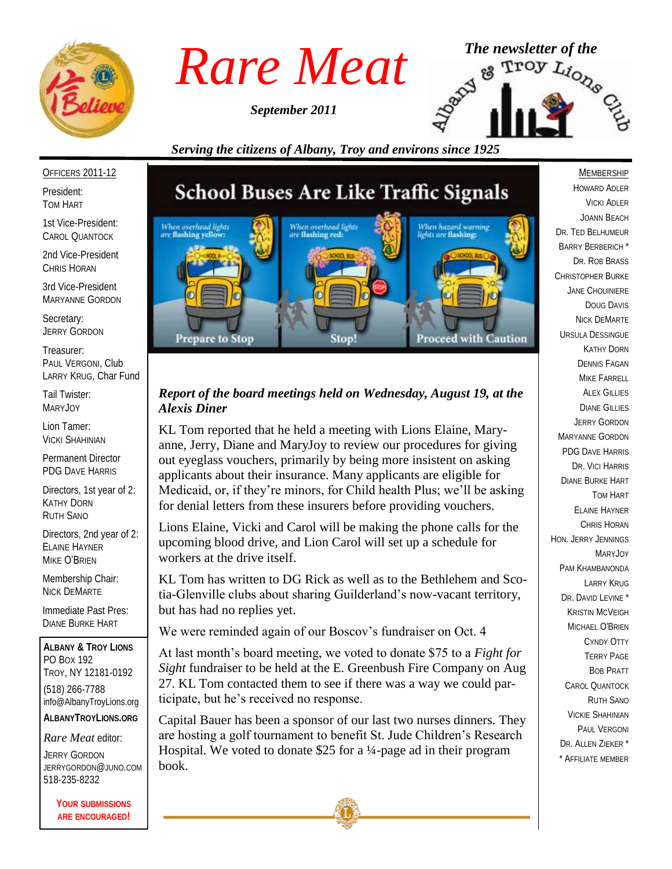

*September 2011*



*Serving the citizens of Albany, Troy and environs since 1925*

#### OFFICERS 2011-12

President: TOM HART

1st Vice-President: CAROL QUANTOCK

2nd Vice-President CHRIS HORAN

3rd Vice-President MARYANNE GORDON

Secretary: JERRY GORDON

Treasurer: PAUL VERGONI, Club LARRY KRUG, Char Fund

Tail Twister: MARYJOY

Lion Tamer: VICKI SHAHINIAN

Permanent Director PDG DAVE HARRIS

Directors, 1st year of 2: KATHY DORN RUTH SANO

Directors, 2nd year of 2: ELAINE HAYNER MIKE O'BRIEN

Membership Chair: NICK DEMARTE

Immediate Past Pres: DIANE BURKE HART

**ALBANY & TROY LIONS** PO BOX 192 TROY, NY 12181-0192 (518) 266-7788 info@AlbanyTroyLions.org **ALBANYTROYLIONS.ORG**

#### *Rare Meat* editor:

JERRY GORDON JERRYGORDON@JUNO.COM 518-235-8232

> **YOUR SUBMISSIONS ARE ENCOURAGED!**

# **School Buses Are Like Traffic Signals**



## *Report of the board meetings held on Wednesday, August 19, at the Alexis Diner*

KL Tom reported that he held a meeting with Lions Elaine, Maryanne, Jerry, Diane and MaryJoy to review our procedures for giving out eyeglass vouchers, primarily by being more insistent on asking applicants about their insurance. Many applicants are eligible for Medicaid, or, if they're minors, for Child health Plus; we'll be asking for denial letters from these insurers before providing vouchers.

Lions Elaine, Vicki and Carol will be making the phone calls for the upcoming blood drive, and Lion Carol will set up a schedule for workers at the drive itself.

KL Tom has written to DG Rick as well as to the Bethlehem and Scotia-Glenville clubs about sharing Guilderland's now-vacant territory, but has had no replies yet.

We were reminded again of our Boscov's fundraiser on Oct. 4

At last month's board meeting, we voted to donate \$75 to a *Fight for Sight* fundraiser to be held at the E. Greenbush Fire Company on Aug 27. KL Tom contacted them to see if there was a way we could participate, but he's received no response.

Capital Bauer has been a sponsor of our last two nurses dinners. They are hosting a golf tournament to benefit St. Jude Children's Research Hospital. We voted to donate \$25 for a ¼-page ad in their program book.

**MEMBERSHIP** HOWARD ADLER VICKI ADLER JOANN BEACH DR. TED BELHUMEUR BARRY BERBERICH \* DR. ROB BRASS CHRISTOPHER BURKE JANE CHOUINIERE DOUG DAVIS NICK DEMARTE URSULA DESSINGUE KATHY DORN DENNIS FAGAN MIKE FARRELL ALEX GILLIES DIANE GILLIES JERRY GORDON MARYANNE GORDON PDG DAVE HARRIS DR. VICI HARRIS DIANE BURKE HART TOM HART ELAINE HAYNER CHRIS HORAN HON. JERRY JENNINGS MARYJOY PAM KHAMBANONDA LARRY KRUG DR. DAVID LEVINE<sup>\*</sup> KRISTIN MCVEIGH MICHAEL O'BRIEN CYNDY OTTY TERRY PAGE BOB PRATT CAROL QUANTOCK RUTH SANO VICKIE SHAHINIAN PAUL VERGONI DR. ALLEN ZIEKER \* \* AFFILIATE MEMBER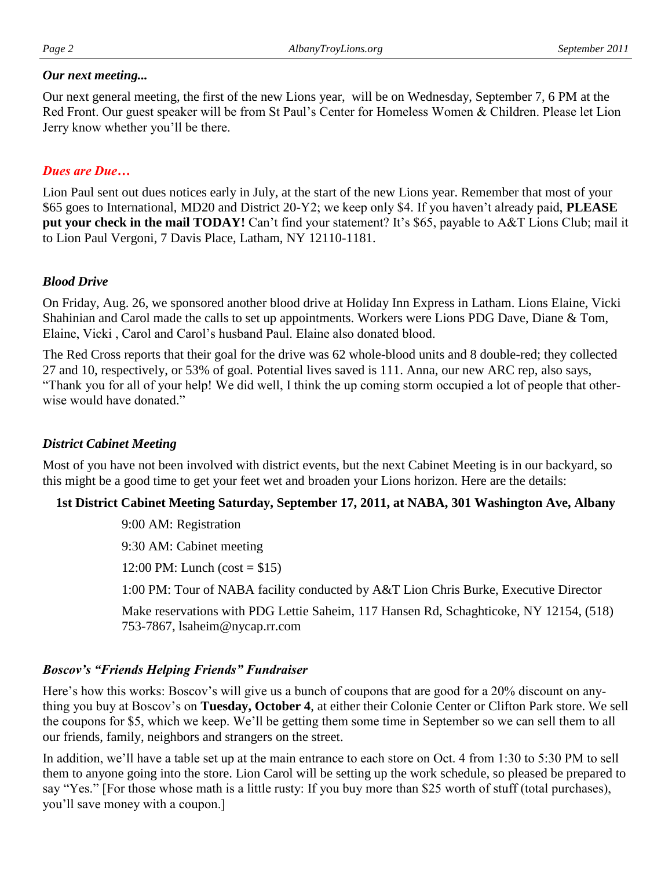#### *Our next meeting...*

Our next general meeting, the first of the new Lions year, will be on Wednesday, September 7, 6 PM at the Red Front. Our guest speaker will be from St Paul's Center for Homeless Women & Children. Please let Lion Jerry know whether you'll be there.

# *Dues are Due…*

Lion Paul sent out dues notices early in July, at the start of the new Lions year. Remember that most of your \$65 goes to International, MD20 and District 20-Y2; we keep only \$4. If you haven't already paid, **PLEASE put your check in the mail TODAY!** Can't find your statement? It's \$65, payable to A&T Lions Club; mail it to Lion Paul Vergoni, 7 Davis Place, Latham, NY 12110-1181.

## *Blood Drive*

On Friday, Aug. 26, we sponsored another blood drive at Holiday Inn Express in Latham. Lions Elaine, Vicki Shahinian and Carol made the calls to set up appointments. Workers were Lions PDG Dave, Diane & Tom, Elaine, Vicki , Carol and Carol's husband Paul. Elaine also donated blood.

The Red Cross reports that their goal for the drive was 62 whole-blood units and 8 double-red; they collected 27 and 10, respectively, or 53% of goal. Potential lives saved is 111. Anna, our new ARC rep, also says, "Thank you for all of your help! We did well, I think the up coming storm occupied a lot of people that otherwise would have donated."

## *District Cabinet Meeting*

Most of you have not been involved with district events, but the next Cabinet Meeting is in our backyard, so this might be a good time to get your feet wet and broaden your Lions horizon. Here are the details:

## **1st District Cabinet Meeting Saturday, September 17, 2011, at NABA, 301 Washington Ave, Albany**

9:00 AM: Registration

9:30 AM: Cabinet meeting

12:00 PM: Lunch (cost =  $$15$ )

1:00 PM: Tour of NABA facility conducted by A&T Lion Chris Burke, Executive Director

Make reservations with PDG Lettie Saheim, 117 Hansen Rd, Schaghticoke, NY 12154, (518) 753-7867, lsaheim@nycap.rr.com

## *Boscov's "Friends Helping Friends" Fundraiser*

Here's how this works: Boscov's will give us a bunch of coupons that are good for a 20% discount on anything you buy at Boscov's on **Tuesday, October 4**, at either their Colonie Center or Clifton Park store. We sell the coupons for \$5, which we keep. We'll be getting them some time in September so we can sell them to all our friends, family, neighbors and strangers on the street.

In addition, we'll have a table set up at the main entrance to each store on Oct. 4 from 1:30 to 5:30 PM to sell them to anyone going into the store. Lion Carol will be setting up the work schedule, so pleased be prepared to say "Yes." [For those whose math is a little rusty: If you buy more than \$25 worth of stuff (total purchases), you'll save money with a coupon.]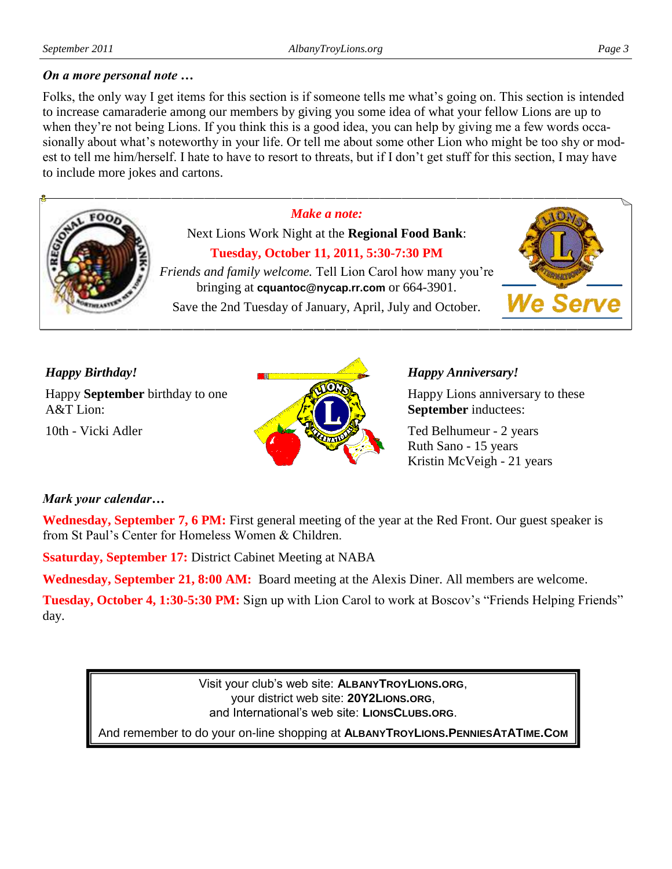#### *On a more personal note …*

Folks, the only way I get items for this section is if someone tells me what's going on. This section is intended to increase camaraderie among our members by giving you some idea of what your fellow Lions are up to when they're not being Lions. If you think this is a good idea, you can help by giving me a few words occasionally about what's noteworthy in your life. Or tell me about some other Lion who might be too shy or modest to tell me him/herself. I hate to have to resort to threats, but if I don't get stuff for this section, I may have to include more jokes and cartons.



Next Lions Work Night at the **Regional Food Bank**: **Tuesday, October 11, 2011, 5:30-7:30 PM**

*Make a note:*



*Friends and family welcome.* Tell Lion Carol how many you're bringing at **cquantoc@nycap.rr.com** or 664-3901.

Save the 2nd Tuesday of January, April, July and October.

## *Happy Birthday!*

Happy **September** birthday to one A&T Lion:

10th - Vicki Adler



#### *Happy Anniversary!*

Happy Lions anniversary to these **September** inductees:

Ted Belhumeur - 2 years Ruth Sano - 15 years Kristin McVeigh - 21 years

## *Mark your calendar…*

**Wednesday, September 7, 6 PM:** First general meeting of the year at the Red Front. Our guest speaker is from St Paul's Center for Homeless Women & Children.

**Ssaturday, September 17:** District Cabinet Meeting at NABA

**Wednesday, September 21, 8:00 AM:** Board meeting at the Alexis Diner. All members are welcome.

**Tuesday, October 4, 1:30-5:30 PM:** Sign up with Lion Carol to work at Boscov's "Friends Helping Friends" day.

> Visit your club's web site: **ALBANYTROYLIONS.ORG**, your district web site: **20Y2LIONS.ORG**, and International's web site: **LIONSCLUBS.ORG**.

And remember to do your on-line shopping at **ALBANYTROYLIONS.PENNIESATATIME.COM**